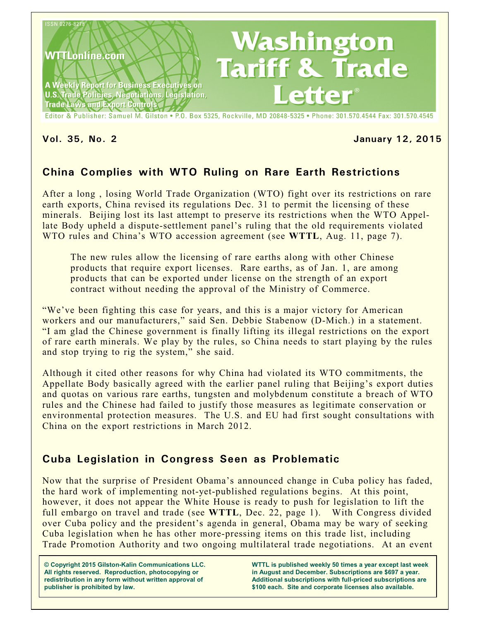

#### **Vol. 35, No. 2 January 12, 2015**

# **China Complies with WTO Ruling on Rare Earth Restrictions**

After a long , losing World Trade Organization (WTO) fight over its restrictions on rare earth exports, China revised its regulations Dec. 31 to permit the licensing of these minerals. Beijing lost its last attempt to preserve its restrictions when the WTO Appellate Body upheld a dispute-settlement panel's ruling that the old requirements violated WTO rules and China's WTO accession agreement (see **WTTL**, Aug. 11, page 7).

The new rules allow the licensing of rare earths along with other Chinese products that require export licenses. Rare earths, as of Jan. 1, are among products that can be exported under license on the strength of an export contract without needing the approval of the Ministry of Commerce.

"We've been fighting this case for years, and this is a major victory for American workers and our manufacturers," said Sen. Debbie Stabenow (D-Mich.) in a statement. "I am glad the Chinese government is finally lifting its illegal restrictions on the export of rare earth minerals. We play by the rules, so China needs to start playing by the rules and stop trying to rig the system," she said.

Although it cited other reasons for why China had violated its WTO commitments, the Appellate Body basically agreed with the earlier panel ruling that Beijing's export duties and quotas on various rare earths, tungsten and molybdenum constitute a breach of WTO rules and the Chinese had failed to justify those measures as legitimate conservation or environmental protection measures. The U.S. and EU had first sought consultations with China on the export restrictions in March 2012.

## **Cuba Legislation in Congress Seen as Problematic**

Now that the surprise of President Obama's announced change in Cuba policy has faded, the hard work of implementing not-yet-published regulations begins. At this point, however, it does not appear the White House is ready to push for legislation to lift the full embargo on travel and trade (see **WTTL**, Dec. 22, page 1). With Congress divided over Cuba policy and the president's agenda in general, Obama may be wary of seeking Cuba legislation when he has other more-pressing items on this trade list, including Trade Promotion Authority and two ongoing multilateral trade negotiations. At an event

**© Copyright 2015 Gilston-Kalin Communications LLC. All rights reserved. Reproduction, photocopying or redistribution in any form without written approval of publisher is prohibited by law.** 

**WTTL is published weekly 50 times a year except last week in August and December. Subscriptions are \$697 a year. Additional subscriptions with full-priced subscriptions are \$100 each. Site and corporate licenses also available.**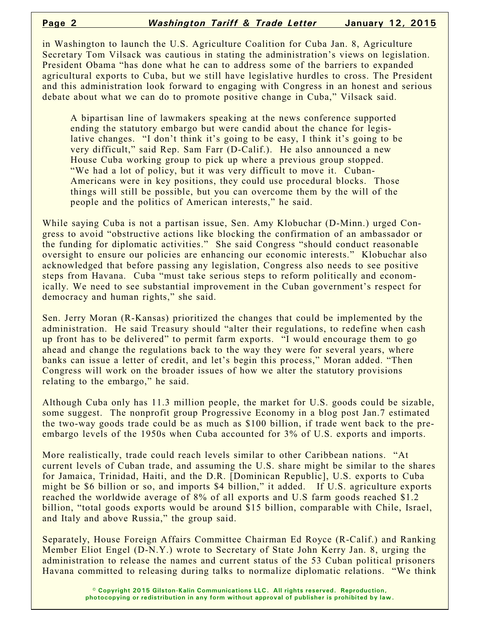in Washington to launch the U.S. Agriculture Coalition for Cuba Jan. 8, Agriculture Secretary Tom Vilsack was cautious in stating the administration's views on legislation. President Obama "has done what he can to address some of the barriers to expanded agricultural exports to Cuba, but we still have legislative hurdles to cross. The President and this administration look forward to engaging with Congress in an honest and serious debate about what we can do to promote positive change in Cuba," Vilsack said.

A bipartisan line of lawmakers speaking at the news conference supported ending the statutory embargo but were candid about the chance for legislative changes. "I don't think it's going to be easy, I think it's going to be very difficult," said Rep. Sam Farr (D-Calif.). He also announced a new House Cuba working group to pick up where a previous group stopped. "We had a lot of policy, but it was very difficult to move it. Cuban-Americans were in key positions, they could use procedural blocks. Those things will still be possible, but you can overcome them by the will of the people and the politics of American interests," he said.

While saying Cuba is not a partisan issue, Sen. Amy Klobuchar (D-Minn.) urged Congress to avoid "obstructive actions like blocking the confirmation of an ambassador or the funding for diplomatic activities." She said Congress "should conduct reasonable oversight to ensure our policies are enhancing our economic interests." Klobuchar also acknowledged that before passing any legislation, Congress also needs to see positive steps from Havana. Cuba "must take serious steps to reform politically and economically. We need to see substantial improvement in the Cuban government's respect for democracy and human rights," she said.

Sen. Jerry Moran (R-Kansas) prioritized the changes that could be implemented by the administration. He said Treasury should "alter their regulations, to redefine when cash up front has to be delivered" to permit farm exports. "I would encourage them to go ahead and change the regulations back to the way they were for several years, where banks can issue a letter of credit, and let's begin this process," Moran added. "Then Congress will work on the broader issues of how we alter the statutory provisions relating to the embargo," he said.

Although Cuba only has 11.3 million people, the market for U.S. goods could be sizable, some suggest. The nonprofit group Progressive Economy in a blog post Jan.7 estimated the two-way goods trade could be as much as \$100 billion, if trade went back to the preembargo levels of the 1950s when Cuba accounted for 3% of U.S. exports and imports.

More realistically, trade could reach levels similar to other Caribbean nations. "At current levels of Cuban trade, and assuming the U.S. share might be similar to the shares for Jamaica, Trinidad, Haiti, and the D.R. [Dominican Republic], U.S. exports to Cuba might be \$6 billion or so, and imports \$4 billion," it added. If U.S. agriculture exports reached the worldwide average of 8% of all exports and U.S farm goods reached \$1.2 billion, "total goods exports would be around \$15 billion, comparable with Chile, Israel, and Italy and above Russia," the group said.

Separately, House Foreign Affairs Committee Chairman Ed Royce (R-Calif.) and Ranking Member Eliot Engel (D-N.Y.) wrote to Secretary of State John Kerry Jan. 8, urging the administration to release the names and current status of the 53 Cuban political prisoners Havana committed to releasing during talks to normalize diplomatic relations. "We think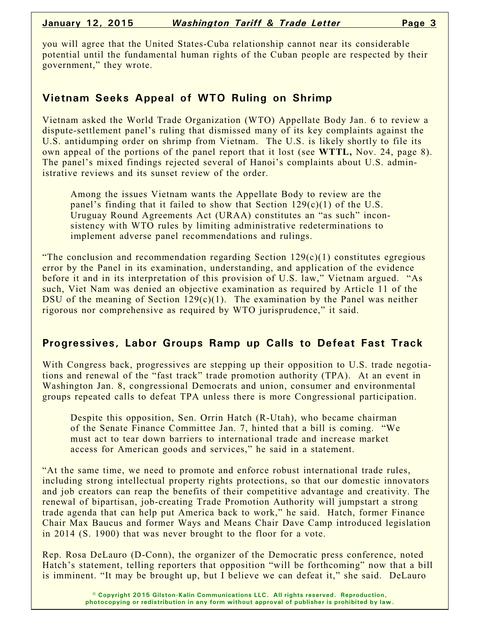you will agree that the United States-Cuba relationship cannot near its considerable potential until the fundamental human rights of the Cuban people are respected by their government," they wrote.

#### **Vietnam Seeks Appeal of WTO Ruling on Shrimp**

Vietnam asked the World Trade Organization (WTO) Appellate Body Jan. 6 to review a dispute-settlement panel's ruling that dismissed many of its key complaints against the U.S. antidumping order on shrimp from Vietnam. The U.S. is likely shortly to file its own appeal of the portions of the panel report that it lost (see **WTTL,** Nov. 24, page 8). The panel's mixed findings rejected several of Hanoi's complaints about U.S. administrative reviews and its sunset review of the order.

Among the issues Vietnam wants the Appellate Body to review are the panel's finding that it failed to show that Section  $129(c)(1)$  of the U.S. Uruguay Round Agreements Act (URAA) constitutes an "as such" inconsistency with WTO rules by limiting administrative redeterminations to implement adverse panel recommendations and rulings.

"The conclusion and recommendation regarding Section  $129(c)(1)$  constitutes egregious error by the Panel in its examination, understanding, and application of the evidence before it and in its interpretation of this provision of U.S. law," Vietnam argued. "As such, Viet Nam was denied an objective examination as required by Article 11 of the DSU of the meaning of Section  $129(c)(1)$ . The examination by the Panel was neither rigorous nor comprehensive as required by WTO jurisprudence," it said.

## **Progressives, Labor Groups Ramp up Calls to Defeat Fast Track**

With Congress back, progressives are stepping up their opposition to U.S. trade negotiations and renewal of the "fast track" trade promotion authority (TPA). At an event in Washington Jan. 8, congressional Democrats and union, consumer and environmental groups repeated calls to defeat TPA unless there is more Congressional participation.

Despite this opposition, Sen. Orrin Hatch (R-Utah), who became chairman of the Senate Finance Committee Jan. 7, hinted that a bill is coming. "We must act to tear down barriers to international trade and increase market access for American goods and services," he said in a statement.

"At the same time, we need to promote and enforce robust international trade rules, including strong intellectual property rights protections, so that our domestic innovators and job creators can reap the benefits of their competitive advantage and creativity. The renewal of bipartisan, job-creating Trade Promotion Authority will jumpstart a strong trade agenda that can help put America back to work," he said. Hatch, former Finance Chair Max Baucus and former Ways and Means Chair Dave Camp introduced legislation in 2014 (S. 1900) that was never brought to the floor for a vote.

Rep. Rosa DeLauro (D-Conn), the organizer of the Democratic press conference, noted Hatch's statement, telling reporters that opposition "will be forthcoming" now that a bill is imminent. "It may be brought up, but I believe we can defeat it," she said. DeLauro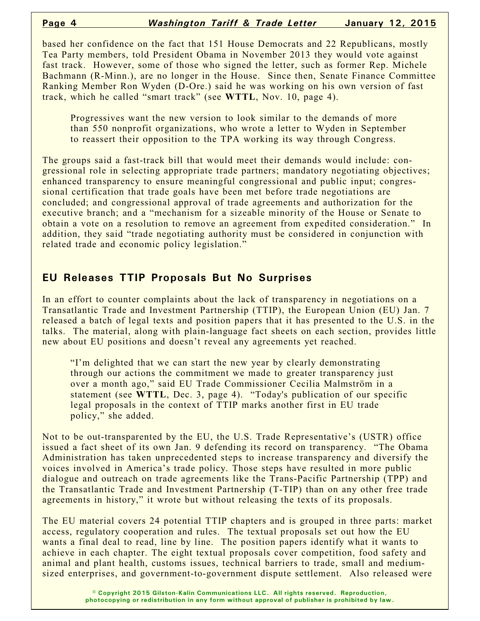based her confidence on the fact that 151 House Democrats and 22 Republicans, mostly Tea Party members, told President Obama in November 2013 they would vote against fast track. However, some of those who signed the letter, such as former Rep. Michele Bachmann (R-Minn.), are no longer in the House. Since then, Senate Finance Committee Ranking Member Ron Wyden (D-Ore.) said he was working on his own version of fast track, which he called "smart track" (see **WTTL**, Nov. 10, page 4).

Progressives want the new version to look similar to the demands of more than 550 nonprofit organizations, who wrote a letter to Wyden in September to reassert their opposition to the TPA working its way through Congress.

The groups said a fast-track bill that would meet their demands would include: congressional role in selecting appropriate trade partners; mandatory negotiating objectives; enhanced transparency to ensure meaningful congressional and public input; congressional certification that trade goals have been met before trade negotiations are concluded; and congressional approval of trade agreements and authorization for the executive branch; and a "mechanism for a sizeable minority of the House or Senate to obtain a vote on a resolution to remove an agreement from expedited consideration." In addition, they said "trade negotiating authority must be considered in conjunction with related trade and economic policy legislation."

#### **EU Releases TTIP Proposals But No Surprises**

In an effort to counter complaints about the lack of transparency in negotiations on a Transatlantic Trade and Investment Partnership (TTIP), the European Union (EU) Jan. 7 released a batch of legal texts and position papers that it has presented to the U.S. in the talks. The material, along with plain-language fact sheets on each section, provides little new about EU positions and doesn't reveal any agreements yet reached.

"I'm delighted that we can start the new year by clearly demonstrating through our actions the commitment we made to greater transparency just over a month ago," said EU Trade Commissioner Cecilia Malmström in a statement (see **WTTL**, Dec. 3, page 4). "Today's publication of our specific legal proposals in the context of TTIP marks another first in EU trade policy," she added.

Not to be out-transparented by the EU, the U.S. Trade Representative's (USTR) office issued a fact sheet of its own Jan. 9 defending its record on transparency. "The Obama Administration has taken unprecedented steps to increase transparency and diversify the voices involved in America's trade policy. Those steps have resulted in more public dialogue and outreach on trade agreements like the Trans-Pacific Partnership (TPP) and the Transatlantic Trade and Investment Partnership (T-TIP) than on any other free trade agreements in history," it wrote but without releasing the texts of its proposals.

The EU material covers 24 potential TTIP chapters and is grouped in three parts: market access, regulatory cooperation and rules. The textual proposals set out how the EU wants a final deal to read, line by line. The position papers identify what it wants to achieve in each chapter. The eight textual proposals cover competition, food safety and animal and plant health, customs issues, technical barriers to trade, small and mediumsized enterprises, and government-to-government dispute settlement. Also released were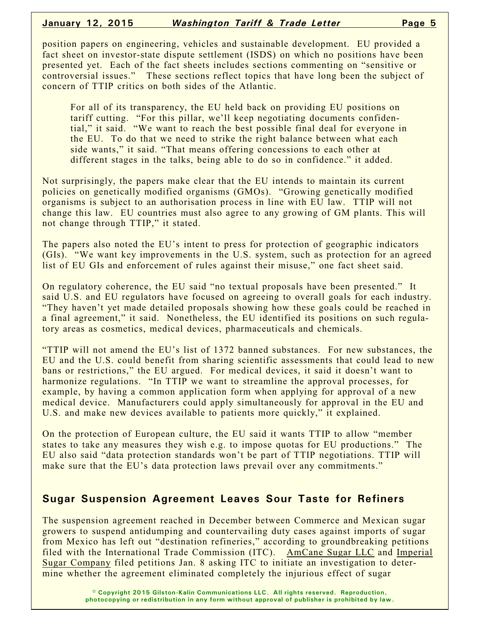position papers on engineering, vehicles and sustainable development. EU provided a fact sheet on investor-state dispute settlement (ISDS) on which no positions have been presented yet. Each of the fact sheets includes sections commenting on "sensitive or controversial issues." These sections reflect topics that have long been the subject of concern of TTIP critics on both sides of the Atlantic.

For all of its transparency, the EU held back on providing EU positions on tariff cutting. "For this pillar, we'll keep negotiating documents confidential," it said. "We want to reach the best possible final deal for everyone in the EU. To do that we need to strike the right balance between what each side wants," it said. "That means offering concessions to each other at different stages in the talks, being able to do so in confidence." it added.

Not surprisingly, the papers make clear that the EU intends to maintain its current policies on genetically modified organisms (GMOs). "Growing genetically modified organisms is subject to an authorisation process in line with EU law. TTIP will not change this law. EU countries must also agree to any growing of GM plants. This will not change through TTIP," it stated.

The papers also noted the EU's intent to press for protection of geographic indicators (GIs). "We want key improvements in the U.S. system, such as protection for an agreed list of EU GIs and enforcement of rules against their misuse," one fact sheet said.

On regulatory coherence, the EU said "no textual proposals have been presented." It said U.S. and EU regulators have focused on agreeing to overall goals for each industry. "They haven't yet made detailed proposals showing how these goals could be reached in a final agreement," it said. Nonetheless, the EU identified its positions on such regulatory areas as cosmetics, medical devices, pharmaceuticals and chemicals.

"TTIP will not amend the EU's list of 1372 banned substances. For new substances, the EU and the U.S. could benefit from sharing scientific assessments that could lead to new bans or restrictions," the EU argued. For medical devices, it said it doesn't want to harmonize regulations. "In TTIP we want to streamline the approval processes, for example, by having a common application form when applying for approval of a new medical device. Manufacturers could apply simultaneously for approval in the EU and U.S. and make new devices available to patients more quickly," it explained.

On the protection of European culture, the EU said it wants TTIP to allow "member states to take any measures they wish e.g. to impose quotas for EU productions." The EU also said "data protection standards won't be part of TTIP negotiations. TTIP will make sure that the EU's data protection laws prevail over any commitments."

#### **Sugar Suspension Agreement Leaves Sour Taste for Refiners**

The suspension agreement reached in December between Commerce and Mexican sugar growers to suspend antidumping and countervailing duty cases against imports of sugar from Mexico has left out "destination refineries," according to groundbreaking petitions filed with the International Trade Commission (ITC). AmCane Sugar LLC and Imperial Sugar Company filed petitions Jan. 8 asking ITC to initiate an investigation to determine whether the agreement eliminated completely the injurious effect of sugar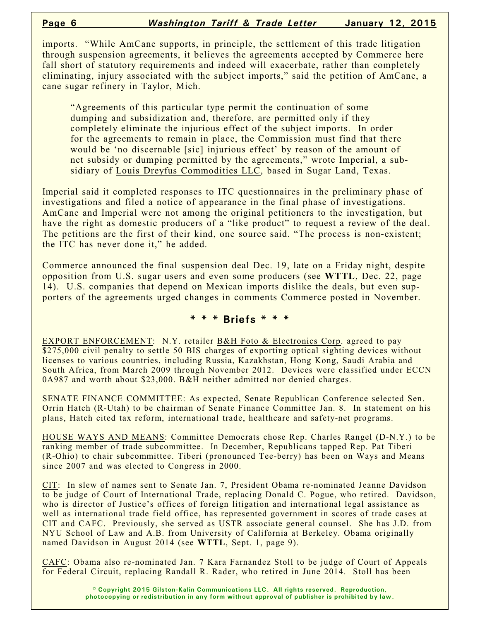imports. "While AmCane supports, in principle, the settlement of this trade litigation through suspension agreements, it believes the agreements accepted by Commerce here fall short of statutory requirements and indeed will exacerbate, rather than completely eliminating, injury associated with the subject imports," said the petition of AmCane, a cane sugar refinery in Taylor, Mich.

"Agreements of this particular type permit the continuation of some dumping and subsidization and, therefore, are permitted only if they completely eliminate the injurious effect of the subject imports. In order for the agreements to remain in place, the Commission must find that there would be 'no discernable [sic] injurious effect' by reason of the amount of net subsidy or dumping permitted by the agreements," wrote Imperial, a subsidiary of Louis Dreyfus Commodities LLC, based in Sugar Land, Texas.

Imperial said it completed responses to ITC questionnaires in the preliminary phase of investigations and filed a notice of appearance in the final phase of investigations. AmCane and Imperial were not among the original petitioners to the investigation, but have the right as domestic producers of a "like product" to request a review of the deal. The petitions are the first of their kind, one source said. "The process is non-existent; the ITC has never done it," he added.

Commerce announced the final suspension deal Dec. 19, late on a Friday night, despite opposition from U.S. sugar users and even some producers (see **WTTL**, Dec. 22, page 14). U.S. companies that depend on Mexican imports dislike the deals, but even supporters of the agreements urged changes in comments Commerce posted in November.

#### **\* \* \* Briefs \* \* \***

EXPORT ENFORCEMENT: N.Y. retailer B&H Foto & Electronics Corp. agreed to pay \$275,000 civil penalty to settle 50 BIS charges of exporting optical sighting devices without licenses to various countries, including Russia, Kazakhstan, Hong Kong, Saudi Arabia and South Africa, from March 2009 through November 2012. Devices were classified under ECCN 0A987 and worth about \$23,000. B&H neither admitted nor denied charges.

SENATE FINANCE COMMITTEE: As expected, Senate Republican Conference selected Sen. Orrin Hatch (R-Utah) to be chairman of Senate Finance Committee Jan. 8. In statement on his plans, Hatch cited tax reform, international trade, healthcare and safety-net programs.

HOUSE WAYS AND MEANS: Committee Democrats chose Rep. Charles Rangel (D-N.Y.) to be ranking member of trade subcommittee. In December, Republicans tapped Rep. Pat Tiberi (R-Ohio) to chair subcommittee. Tiberi (pronounced Tee-berry) has been on Ways and Means since 2007 and was elected to Congress in 2000.

CIT: In slew of names sent to Senate Jan. 7, President Obama re-nominated Jeanne Davidson to be judge of Court of International Trade, replacing Donald C. Pogue, who retired. Davidson, who is director of Justice's offices of foreign litigation and international legal assistance as well as international trade field office, has represented government in scores of trade cases at CIT and CAFC. Previously, she served as USTR associate general counsel. She has J.D. from NYU School of Law and A.B. from University of California at Berkeley. Obama originally named Davidson in August 2014 (see **WTTL**, Sept. 1, page 9).

CAFC: Obama also re-nominated Jan. 7 Kara Farnandez Stoll to be judge of Court of Appeals for Federal Circuit, replacing Randall R. Rader, who retired in June 2014. Stoll has been